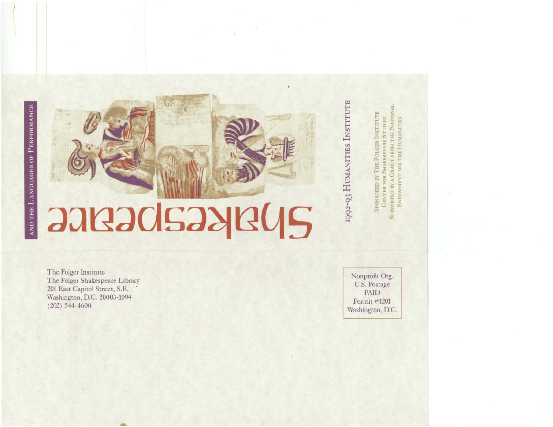## **JARJOISJARUS**

The Folger Institute The Folger Shakespeare Library 201 East Capitol Street, S.E. Washington, D.C. 20003-1094  $(202)$  544-4600

Nonprofit Org. U.S. Postage **PAID** Permit #1201 Washington, D.C.

SUPPORTED BY A GRANT FROM THE NATION

ENDOWMENT FOR THE HUMANITIES

**CENTER FOR SHAKESPEARE STUDIES** 

**OLGER INSTITUTE** 

HE

SPONSORED BY

1992-93 HUMANITIES INSTITUTE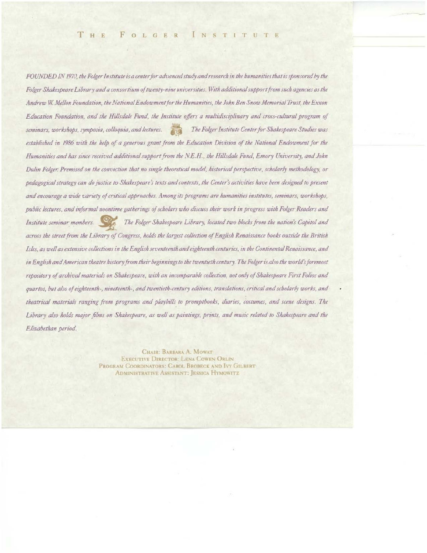FOUNDED IN 1970, the Folger Institute is a center for advanced study and research in the humanities that is sponsored by the Folger Shakespeare Library and a consortium of twenty-nine universities. With additional support from such agencies as the Andrew W. Mellon Foundation, the National Endowment for the Humanities, the John Ben Snow Memorial Trust, the Exxon Education Foundation, and the Hillsdale Fund, the Institute offers a multidisciplinary and cross-cultural program of seminars, workshops, symposia, colloquia, and lectures. The Folger Institute Center for Shakespeare Studies was 不可 established in 1986 with the help of a generous grant from the Education Division of the National Endowment for the Humanities and has since received additional support from the N.E.H., the Hillsdale Fund, Emory University, and John Dulin Folger. Premised on the conviction that no single theoretical model, historical perspective, scholarly methodology, or pedagogical strategy can do justice to Shakespeare's texts and contexts, the Center's activities have been designed to present and encourage a wide variety of critical approaches. Among its programs are humanities institutes, seminars, workshops, public lectures, and informal noontime gatherings of scholars who discuss their work in progress with Folger Readers and Institute seminar members. The Folger Shakespeare Library, located two blocks from the nation's Capitol and across the street from the Library of Congress, holds the largest collection of English Renaissance books outside the British Isles, as well as extensive collections in the English seventeenth and eighteenth centuries, in the Continental Renaissance, and in English and American theatre history from their beginnings to the twentieth century. The Folger is also the world's foremost repository of archival materials on Shakespeare, with an incomparable collection, not only of Shakespeare First Folios and quartos, but also of eighteenth-, nineteenth-, and twentieth-century editions, translations, critical and scholarly works, and theatrical materials ranging from programs and playbills to promptbooks, diaries, costumes, and scene designs. The Library also holds major films on Shakespeare, as well as paintings, prints, and music related to Shakespeare and the Elizabethan period.

> CHAIR: BARBARA A. MOWAT EXECUTIVE DIRECTOR: LENA COWEN ORLIN PROGRAM COORDINATORS: CAROL BROBECK AND IVY GILBERT **ADMINISTRATIVE ASSISTANT: JESSICA HYMOWITZ**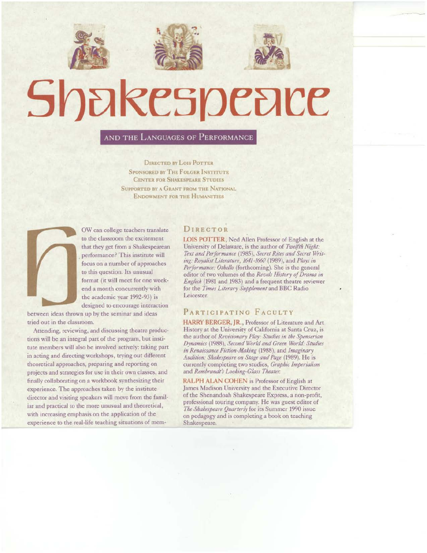



# Shakespeace

## AND THE LANGUAGES OF PERFORMANCE

DIRECTED BY LOIS POTTER SPONSORED BY THE FOLGER INSTITUTE **CENTER FOR SHAKESPEARE STUDIES** SUPPORTED BY A GRANT FROM THE NATIONAL ENDOWMENT FOR THE HUMANITIES



OW can college teachers translate to the classroom the excitement that they get from a Shakespearean performance? This instirute will focus on a number of approaches to this question. Its unusual format (it will meet for one weekend a month concurrently with the academic year 1992-93) is designed to encourage interaction

between ideas thrown up by the seminar and ideas tried Out in the classroom.

Attending, reviewing, and discussing theatre productions will be an integral part of the program, but institute members will also be involved actively: taking part in acting and directing workshops, trying out different theoretical approaches, preparing and reporting on projects and strategies for use in their own classes, and finally collaborating on a workbook synthesizing their experience. The approaches taken by the institute director and visiting speakers will move from the familiar and practical to the more unusual and theoretical, with increasing emphasis on the application of the experience to the real-life teaching situations of mem-

## DIRECTOR

LOIS POTTER, Ned Allen Professor of English at the University of Delaware, is the author of *Twelfth Night:* Text and Performance (1985), Secret Rites and Secret Writing: Royalist Literature, 1641-1660 (1989), and *Plays in* Performance: Othello (forthcoming). She is the general editor of two \'olumes of the *Revels /listory of Drama in Eng/ish* (1981 and 1983) and a frequent theatre reviewer for the *Times Literary Supplement* and BBC Radio Leicester.

## PARTICIPATING FACULTY

HARRY BERGER, JR., Professor of Literature and Art History at the University of California at Santa Cruz, is the author of *Revisionary Play: Studies in the Spenserian Dynamics* (1988), *Second World and Green World: Studies* in *Renaissance Fiction-Making* (1988), and *Imaginary* Audition: Shakespeare on Stage and Page (1989). He is currently completing two studies, *Graphic Imperialism* and *Rembrandt's Looking-Glass Theater.* 

RALPH ALAN COHEN is Professor of English at James Madison University and the Executive Director of the Shenandoah Shakespeare Express, a non-profit, professional touring company. He was guest editor of The Shakespeare Quarterly for its Summer 1990 issue on pedagogy and is completing a book on teaching Shakespeare.